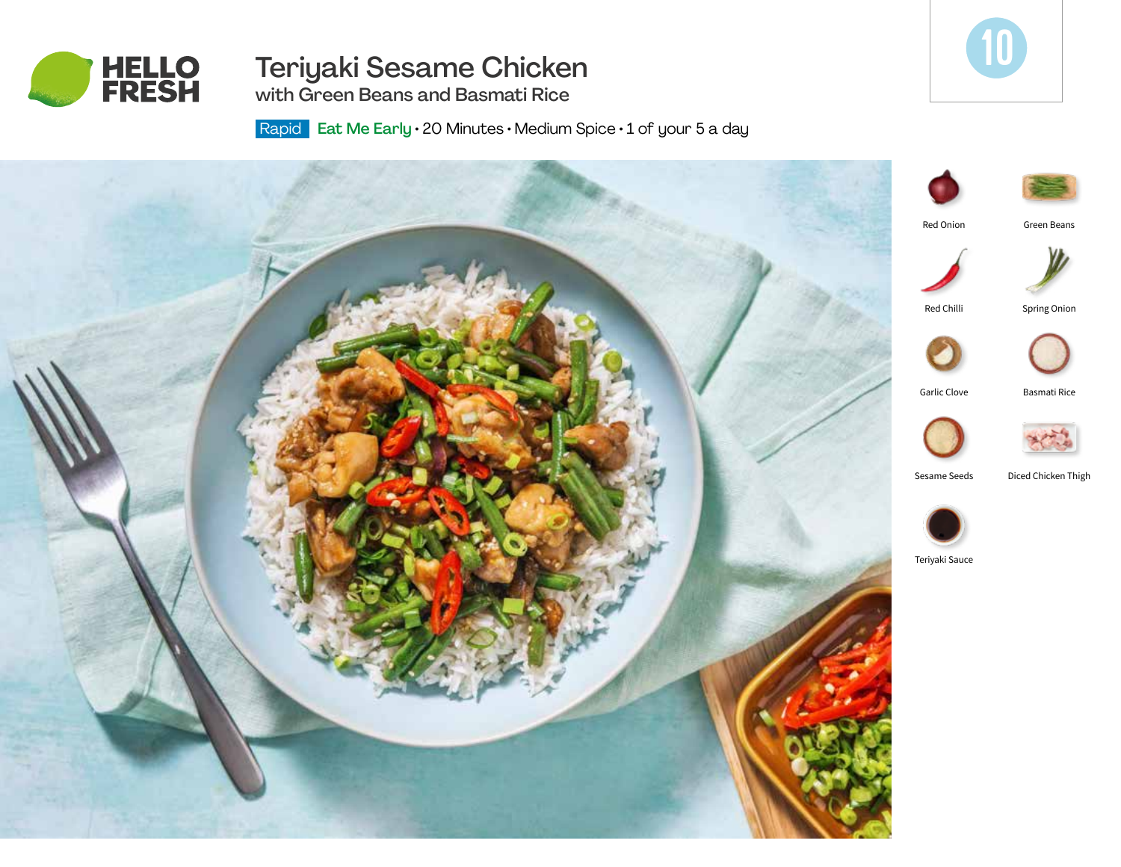

# Teriyaki Sesame Chicken

10

with Green Beans and Basmati Rice

Rapid Eat Me Early · 20 Minutes · Medium Spice · 1 of your 5 a day